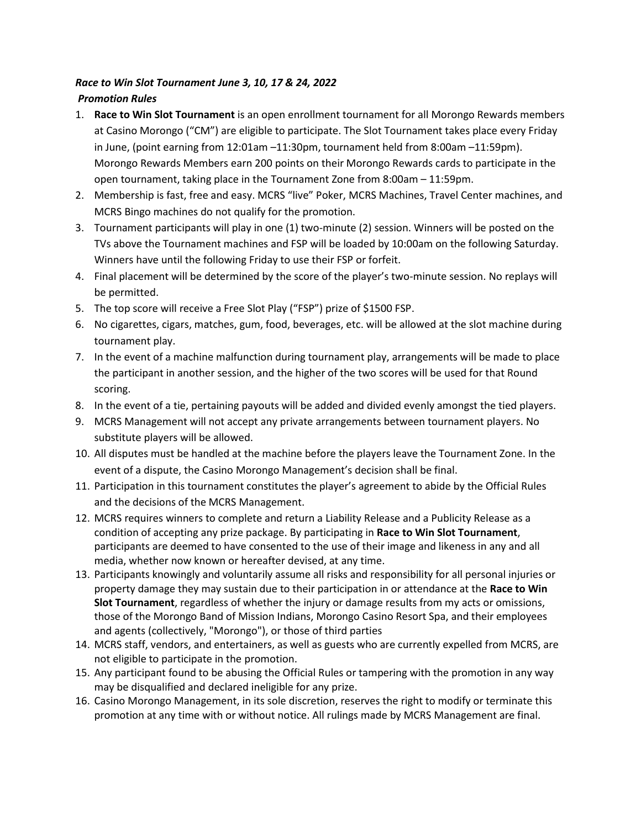## *Race to Win Slot Tournament June 3, 10, 17 & 24, 2022 Promotion Rules*

- 1. **Race to Win Slot Tournament** is an open enrollment tournament for all Morongo Rewards members at Casino Morongo ("CM") are eligible to participate. The Slot Tournament takes place every Friday in June, (point earning from 12:01am –11:30pm, tournament held from 8:00am –11:59pm). Morongo Rewards Members earn 200 points on their Morongo Rewards cards to participate in the open tournament, taking place in the Tournament Zone from 8:00am – 11:59pm.
- 2. Membership is fast, free and easy. MCRS "live" Poker, MCRS Machines, Travel Center machines, and MCRS Bingo machines do not qualify for the promotion.
- 3. Tournament participants will play in one (1) two-minute (2) session. Winners will be posted on the TVs above the Tournament machines and FSP will be loaded by 10:00am on the following Saturday. Winners have until the following Friday to use their FSP or forfeit.
- 4. Final placement will be determined by the score of the player's two-minute session. No replays will be permitted.
- 5. The top score will receive a Free Slot Play ("FSP") prize of \$1500 FSP.
- 6. No cigarettes, cigars, matches, gum, food, beverages, etc. will be allowed at the slot machine during tournament play.
- 7. In the event of a machine malfunction during tournament play, arrangements will be made to place the participant in another session, and the higher of the two scores will be used for that Round scoring.
- 8. In the event of a tie, pertaining payouts will be added and divided evenly amongst the tied players.
- 9. MCRS Management will not accept any private arrangements between tournament players. No substitute players will be allowed.
- 10. All disputes must be handled at the machine before the players leave the Tournament Zone. In the event of a dispute, the Casino Morongo Management's decision shall be final.
- 11. Participation in this tournament constitutes the player's agreement to abide by the Official Rules and the decisions of the MCRS Management.
- 12. MCRS requires winners to complete and return a Liability Release and a Publicity Release as a condition of accepting any prize package. By participating in **Race to Win Slot Tournament**, participants are deemed to have consented to the use of their image and likeness in any and all media, whether now known or hereafter devised, at any time.
- 13. Participants knowingly and voluntarily assume all risks and responsibility for all personal injuries or property damage they may sustain due to their participation in or attendance at the **Race to Win Slot Tournament**, regardless of whether the injury or damage results from my acts or omissions, those of the Morongo Band of Mission Indians, Morongo Casino Resort Spa, and their employees and agents (collectively, "Morongo"), or those of third parties
- 14. MCRS staff, vendors, and entertainers, as well as guests who are currently expelled from MCRS, are not eligible to participate in the promotion.
- 15. Any participant found to be abusing the Official Rules or tampering with the promotion in any way may be disqualified and declared ineligible for any prize.
- 16. Casino Morongo Management, in its sole discretion, reserves the right to modify or terminate this promotion at any time with or without notice. All rulings made by MCRS Management are final.